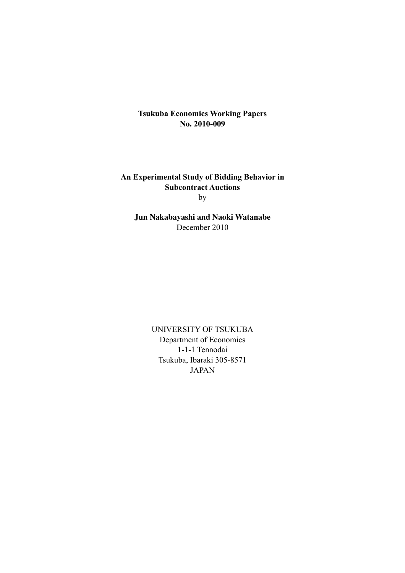**Tsukuba Economics Working Papers No. 2010-009**

**An Experimental Study of Bidding Behavior in Subcontract Auctions** by

**Jun Nakabayashi and Naoki Watanabe** December 2010

> UNIVERSITY OF TSUKUBA Department of Economics 1-1-1 Tennodai Tsukuba, Ibaraki 305-8571 JAPAN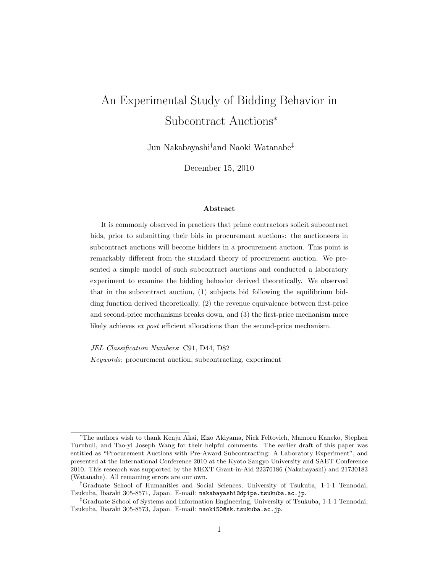# An Experimental Study of Bidding Behavior in Subcontract Auctions<sup>∗</sup>

Jun Nakabayashi*†* and Naoki Watanabe*‡*

December 15, 2010

#### Abstract

It is commonly observed in practices that prime contractors solicit subcontract bids, prior to submitting their bids in procurement auctions: the auctioneers in subcontract auctions will become bidders in a procurement auction. This point is remarkably different from the standard theory of procurement auction. We presented a simple model of such subcontract auctions and conducted a laboratory experiment to examine the bidding behavior derived theoretically. We observed that in the subcontract auction, (1) subjects bid following the equilibrium bidding function derived theoretically, (2) the revenue equivalence between first-price and second-price mechanisms breaks down, and (3) the first-price mechanism more likely achieves *ex post* efficient allocations than the second-price mechanism.

*JEL Classification Numbers*: C91, D44, D82

*Keywords*: procurement auction, subcontracting, experiment

<sup>∗</sup>The authors wish to thank Kenju Akai, Eizo Akiyama, Nick Feltovich, Mamoru Kaneko, Stephen Turnbull, and Tao-yi Joseph Wang for their helpful comments. The earlier draft of this paper was entitled as "Procurement Auctions with Pre-Award Subcontracting: A Laboratory Experiment", and presented at the International Conference 2010 at the Kyoto Sangyo University and SAET Conference 2010. This research was supported by the MEXT Grant-in-Aid 22370186 (Nakabayashi) and 21730183 (Watanabe). All remaining errors are our own.

*<sup>†</sup>*Graduate School of Humanities and Social Sciences, University of Tsukuba, 1-1-1 Tennodai, Tsukuba, Ibaraki 305-8571, Japan. E-mail: nakabayashi@dpipe.tsukuba.ac.jp.

*<sup>‡</sup>*Graduate School of Systems and Information Engineering, University of Tsukuba, 1-1-1 Tennodai, Tsukuba, Ibaraki 305-8573, Japan. E-mail: naoki50@sk.tsukuba.ac.jp.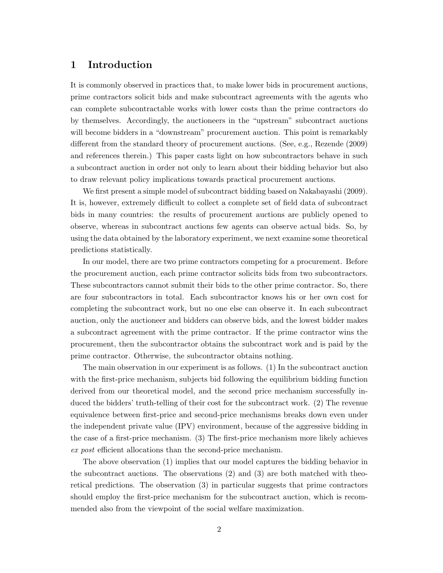# 1 Introduction

It is commonly observed in practices that, to make lower bids in procurement auctions, prime contractors solicit bids and make subcontract agreements with the agents who can complete subcontractable works with lower costs than the prime contractors do by themselves. Accordingly, the auctioneers in the "upstream" subcontract auctions will become bidders in a "downstream" procurement auction. This point is remarkably different from the standard theory of procurement auctions. (See, e.g., Rezende (2009) and references therein.) This paper casts light on how subcontractors behave in such a subcontract auction in order not only to learn about their bidding behavior but also to draw relevant policy implications towards practical procurement auctions.

We first present a simple model of subcontract bidding based on Nakabayashi (2009). It is, however, extremely difficult to collect a complete set of field data of subcontract bids in many countries: the results of procurement auctions are publicly opened to observe, whereas in subcontract auctions few agents can observe actual bids. So, by using the data obtained by the laboratory experiment, we next examine some theoretical predictions statistically.

In our model, there are two prime contractors competing for a procurement. Before the procurement auction, each prime contractor solicits bids from two subcontractors. These subcontractors cannot submit their bids to the other prime contractor. So, there are four subcontractors in total. Each subcontractor knows his or her own cost for completing the subcontract work, but no one else can observe it. In each subcontract auction, only the auctioneer and bidders can observe bids, and the lowest bidder makes a subcontract agreement with the prime contractor. If the prime contractor wins the procurement, then the subcontractor obtains the subcontract work and is paid by the prime contractor. Otherwise, the subcontractor obtains nothing.

The main observation in our experiment is as follows. (1) In the subcontract auction with the first-price mechanism, subjects bid following the equilibrium bidding function derived from our theoretical model, and the second price mechanism successfully induced the bidders' truth-telling of their cost for the subcontract work. (2) The revenue equivalence between first-price and second-price mechanisms breaks down even under the independent private value (IPV) environment, because of the aggressive bidding in the case of a first-price mechanism. (3) The first-price mechanism more likely achieves *ex post* efficient allocations than the second-price mechanism.

The above observation (1) implies that our model captures the bidding behavior in the subcontract auctions. The observations (2) and (3) are both matched with theoretical predictions. The observation (3) in particular suggests that prime contractors should employ the first-price mechanism for the subcontract auction, which is recommended also from the viewpoint of the social welfare maximization.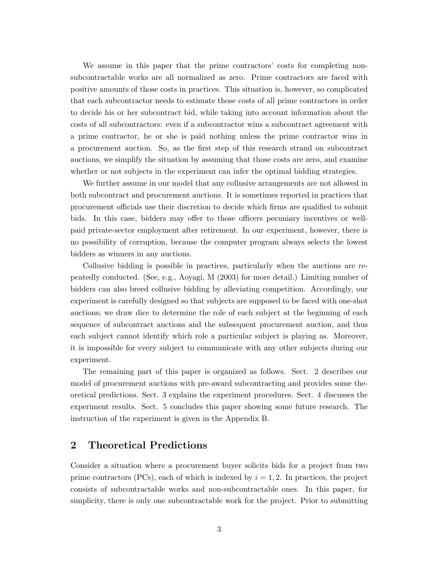We assume in this paper that the prime contractors' costs for completing nonsubcontractable works are all normalized as zero. Prime contractors are faced with positive amounts of those costs in practices. This situation is, however, so complicated that each subcontractor needs to estimate those costs of all prime contractors in order to decide his or her subcontract bid, while taking into account information about the costs of all subcontractors: even if a subcontractor wins a subcontract agreement with a prime contractor, he or she is paid nothing unless the prime contractor wins in a procurement auction. So, as the first step of this research strand on subcontract auctions, we simplify the situation by assuming that those costs are zero, and examine whether or not subjects in the experiment can infer the optimal bidding strategies.

We further assume in our model that any collusive arrangements are not allowed in both subcontract and procurement auctions. It is sometimes reported in practices that procurement officials use their discretion to decide which firms are qualified to submit bids. In this case, bidders may offer to those officers pecuniary incentives or wellpaid private-sector employment after retirement. In our experiment, however, there is no possibility of corruption, because the computer program always selects the lowest bidders as winners in any auctions.

Collusive bidding is possible in practices, particularly when the auctions are repeatedly conducted. (See, e.g., Aoyagi, M (2003) for more detail.) Limiting number of bidders can also breed collusive bidding by alleviating competition. Accordingly, our experiment is carefully designed so that subjects are supposed to be faced with one-shot auctions; we draw dice to determine the role of each subject at the beginning of each sequence of subcontract auctions and the subsequent procurement auction, and thus each subject cannot identify which role a particular subject is playing as. Moreover, it is impossible for every subject to communicate with any other subjects during our experiment.

The remaining part of this paper is organized as follows. Sect. 2 describes our model of procurement auctions with pre-award subcontracting and provides some theoretical predictions. Sect. 3 explains the experiment procedures. Sect. 4 discusses the experiment results. Sect. 5 concludes this paper showing some future research. The instruction of the experiment is given in the Appendix B.

### 2 Theoretical Predictions

Consider a situation where a procurement buyer solicits bids for a project from two prime contractors  $(PCs)$ , each of which is indexed by  $i = 1, 2$ . In practices, the project consists of subcontractable works and non-subcontractable ones. In this paper, for simplicity, there is only one subcontractable work for the project. Prior to submitting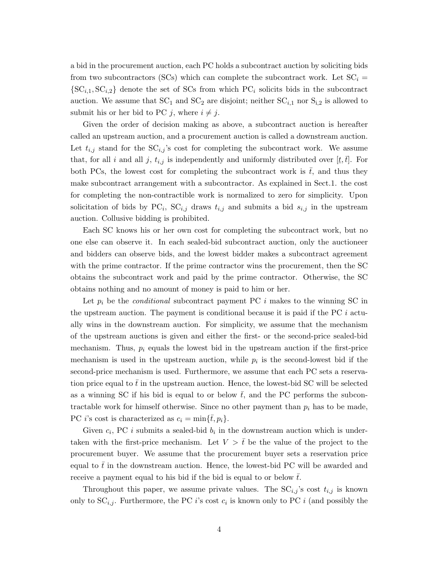a bid in the procurement auction, each PC holds a subcontract auction by soliciting bids from two subcontractors (SCs) which can complete the subcontract work. Let  $SC_i$  ${SC_{i,1}, SC_{i,2}}$  denote the set of SCs from which  ${PC_i}$  solicits bids in the subcontract auction. We assume that  $SC_1$  and  $SC_2$  are disjoint; neither  $SC_{i,1}$  nor  $S_{i,2}$  is allowed to submit his or her bid to PC *j*, where  $i \neq j$ .

Given the order of decision making as above, a subcontract auction is hereafter called an upstream auction, and a procurement auction is called a downstream auction. Let  $t_{i,j}$  stand for the  $SC_{i,j}$ 's cost for completing the subcontract work. We assume that, for all *i* and all *j*,  $t_{i,j}$  is independently and uniformly distributed over  $[\underline{t}, \overline{t}]$ . For both PCs, the lowest cost for completing the subcontract work is  $\bar{t}$ , and thus they make subcontract arrangement with a subcontractor. As explained in Sect.1. the cost for completing the non-contractible work is normalized to zero for simplicity. Upon solicitation of bids by  $PC_i$ ,  $SC_{i,j}$  draws  $t_{i,j}$  and submits a bid  $s_{i,j}$  in the upstream auction. Collusive bidding is prohibited.

Each SC knows his or her own cost for completing the subcontract work, but no one else can observe it. In each sealed-bid subcontract auction, only the auctioneer and bidders can observe bids, and the lowest bidder makes a subcontract agreement with the prime contractor. If the prime contractor wins the procurement, then the SC obtains the subcontract work and paid by the prime contractor. Otherwise, the SC obtains nothing and no amount of money is paid to him or her.

Let  $p_i$  be the *conditional* subcontract payment PC  $i$  makes to the winning SC in the upstream auction. The payment is conditional because it is paid if the PC *i* actually wins in the downstream auction. For simplicity, we assume that the mechanism of the upstream auctions is given and either the first- or the second-price sealed-bid mechanism. Thus,  $p_i$  equals the lowest bid in the upstream auction if the first-price mechanism is used in the upstream auction, while  $p_i$  is the second-lowest bid if the second-price mechanism is used. Furthermore, we assume that each PC sets a reservation price equal to  $\bar{t}$  in the upstream auction. Hence, the lowest-bid SC will be selected as a winning SC if his bid is equal to or below  $\bar{t}$ , and the PC performs the subcontractable work for himself otherwise. Since no other payment than  $p_i$  has to be made, PC *i*'s cost is characterized as  $c_i = \min{\{\overline{t}, p_i\}}$ .

Given  $c_i$ , PC *i* submits a sealed-bid  $b_i$  in the downstream auction which is undertaken with the first-price mechanism. Let  $V > \bar{t}$  be the value of the project to the procurement buyer. We assume that the procurement buyer sets a reservation price equal to  $\bar{t}$  in the downstream auction. Hence, the lowest-bid PC will be awarded and receive a payment equal to his bid if the bid is equal to or below  $\bar{t}$ .

Throughout this paper, we assume private values. The  $SC_{i,j}$ 's cost  $t_{i,j}$  is known only to  $SC_{i,j}$ . Furthermore, the PC *i*'s cost  $c_i$  is known only to PC *i* (and possibly the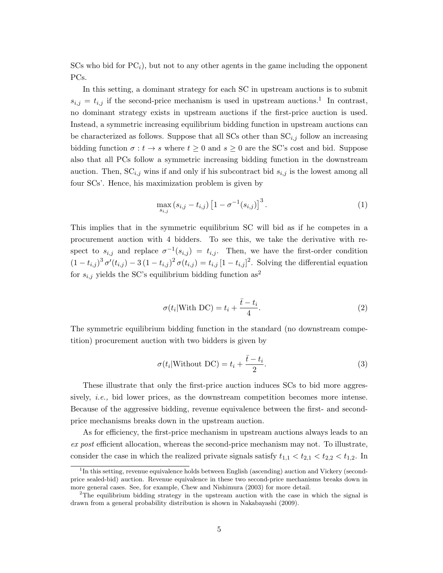$SCs$  who bid for  $PC<sub>i</sub>$ ), but not to any other agents in the game including the opponent PCs.

In this setting, a dominant strategy for each SC in upstream auctions is to submit  $s_{i,j} = t_{i,j}$  if the second-price mechanism is used in upstream auctions.<sup>1</sup> In contrast, no dominant strategy exists in upstream auctions if the first-price auction is used. Instead, a symmetric increasing equilibrium bidding function in upstream auctions can be characterized as follows. Suppose that all SCs other than  $SC_{i,j}$  follow an increasing bidding function  $\sigma : t \to s$  where  $t \geq 0$  and  $s \geq 0$  are the SC's cost and bid. Suppose also that all PCs follow a symmetric increasing bidding function in the downstream auction. Then,  $SC_{i,j}$  wins if and only if his subcontract bid  $s_{i,j}$  is the lowest among all four SCs'. Hence, his maximization problem is given by

$$
\max_{s_{i,j}} (s_{i,j} - t_{i,j}) \left[ 1 - \sigma^{-1}(s_{i,j}) \right]^3.
$$
 (1)

This implies that in the symmetric equilibrium SC will bid as if he competes in a procurement auction with 4 bidders. To see this, we take the derivative with respect to  $s_{i,j}$  and replace  $\sigma^{-1}(s_{i,j}) = t_{i,j}$ . Then, we have the first-order condition  $(1 - t_{i,j})^3 \sigma'(t_{i,j}) - 3(1 - t_{i,j})^2 \sigma(t_{i,j}) = t_{i,j} [1 - t_{i,j}]^2$ . Solving the differential equation for  $s_{i,j}$  yields the SC's equilibrium bidding function  $\mathrm{as}^2$ 

$$
\sigma(t_i|\text{With DC}) = t_i + \frac{\bar{t} - t_i}{4}.\tag{2}
$$

The symmetric equilibrium bidding function in the standard (no downstream competition) procurement auction with two bidders is given by

$$
\sigma(t_i|\text{Without DC}) = t_i + \frac{\bar{t} - t_i}{2}.\tag{3}
$$

These illustrate that only the first-price auction induces SCs to bid more aggressively, *i.e.,* bid lower prices, as the downstream competition becomes more intense. Because of the aggressive bidding, revenue equivalence between the first- and secondprice mechanisms breaks down in the upstream auction.

As for efficiency, the first-price mechanism in upstream auctions always leads to an *ex post* efficient allocation, whereas the second-price mechanism may not. To illustrate, consider the case in which the realized private signals satisfy  $t_{1,1} < t_{2,1} < t_{2,2} < t_{1,2}$ . In

<sup>&</sup>lt;sup>1</sup>In this setting, revenue equivalence holds between English (ascending) auction and Vickery (secondprice sealed-bid) auction. Revenue equivalence in these two second-price mechanisms breaks down in more general cases. See, for example, Chew and Nishimura (2003) for more detail.

<sup>&</sup>lt;sup>2</sup>The equilibrium bidding strategy in the upstream auction with the case in which the signal is drawn from a general probability distribution is shown in Nakabayashi (2009).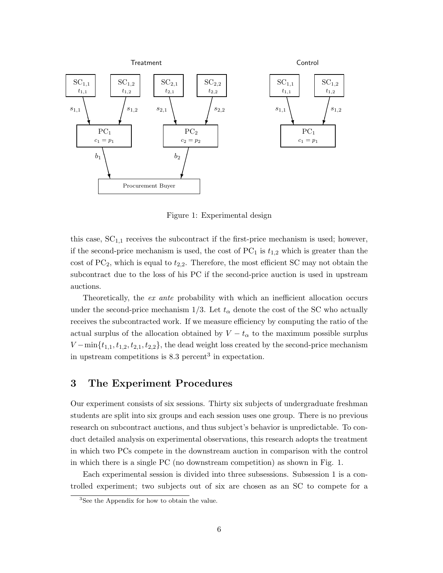

Figure 1: Experimental design

this case, SC1*,*<sup>1</sup> receives the subcontract if the first-price mechanism is used; however, if the second-price mechanism is used, the cost of  $PC_1$  is  $t_{1,2}$  which is greater than the cost of  $PC_2$ , which is equal to  $t_{2,2}$ . Therefore, the most efficient SC may not obtain the subcontract due to the loss of his PC if the second-price auction is used in upstream auctions.

Theoretically, the *ex ante* probability with which an inefficient allocation occurs under the second-price mechanism  $1/3$ . Let  $t_{\alpha}$  denote the cost of the SC who actually receives the subcontracted work. If we measure efficiency by computing the ratio of the actual surplus of the allocation obtained by  $V - t_{\alpha}$  to the maximum possible surplus *V* − min $\{t_{1,1}, t_{1,2}, t_{2,1}, t_{2,2}\}$ , the dead weight loss created by the second-price mechanism in upstream competitions is  $8.3$  percent<sup>3</sup> in expectation.

# 3 The Experiment Procedures

Our experiment consists of six sessions. Thirty six subjects of undergraduate freshman students are split into six groups and each session uses one group. There is no previous research on subcontract auctions, and thus subject's behavior is unpredictable. To conduct detailed analysis on experimental observations, this research adopts the treatment in which two PCs compete in the downstream auction in comparison with the control in which there is a single PC (no downstream competition) as shown in Fig. 1.

Each experimental session is divided into three subsessions. Subsession 1 is a controlled experiment; two subjects out of six are chosen as an SC to compete for a

<sup>&</sup>lt;sup>3</sup>See the Appendix for how to obtain the value.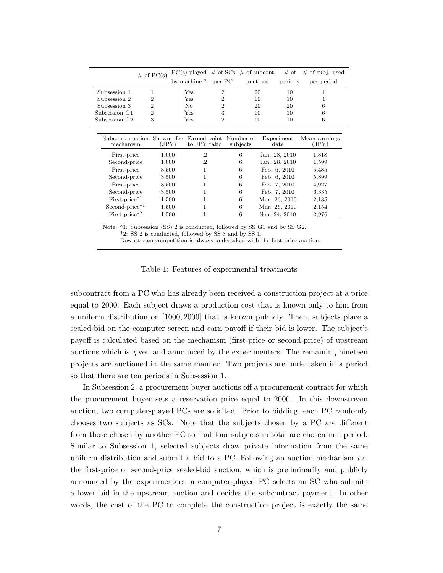|                            | $\#$ of PC(s)  | $PC(s)$ played $\#$ of SCs $\#$ of subcont.                        |                |          |                             | $# \text{ of }$ | $#$ of subj. used      |
|----------------------------|----------------|--------------------------------------------------------------------|----------------|----------|-----------------------------|-----------------|------------------------|
|                            |                | by machine?                                                        | per PC         | auctions |                             | periods         | per period             |
| Subsession 1               | 1              | Yes                                                                | $\overline{2}$ | 20       |                             | 10              | 4                      |
| Subsession 2               | 2              | Yes                                                                | 2              | 10       |                             | 10              |                        |
| Subsession 3               | $\overline{2}$ | No                                                                 | $\overline{2}$ | 20       |                             | 20              | 6                      |
| Subsession G1              | $\overline{2}$ | Yes                                                                | 3              | 10       |                             | 10              | 6                      |
| Subsession G <sub>2</sub>  | 3              | Yes                                                                | $\overline{2}$ | 10       |                             | 10              | 6                      |
|                            |                |                                                                    |                |          |                             |                 |                        |
| mechanism                  | (JPY)          | Subcont. auction Showup fee Earned point Number of<br>to JPY ratio |                | subjects | Experiment<br>$_{\rm date}$ |                 | Mean earnings<br>(JPY) |
| First-price                | 1,000          | $\cdot$                                                            |                | 6        | Jan. 28, 2010               |                 | 1,318                  |
| Second-price               | 1,000          | $\cdot$                                                            |                | 6        | Jan. 28, 2010               |                 | 1,599                  |
| First-price                | 3,500          | 1                                                                  |                | 6        | Feb. 6, 2010                |                 | 5,485                  |
| Second-price               | 3,500          | 1                                                                  |                | 6        | Feb. 6, 2010                |                 | 5,899                  |
| First-price                | 3,500          |                                                                    |                | 6        | Feb. 7, 2010                |                 | 4,927                  |
| Second-price               | 3,500          | 1                                                                  |                | 6        | Feb. 7, 2010                |                 | 6,335                  |
| $First-price*1$            | 1,500          | 1                                                                  |                | 6        | Mar. 26, 2010               |                 | 2,185                  |
| Second-price* <sup>1</sup> | 1,500          | 1                                                                  |                | 6        | Mar. 26, 2010               |                 | 2,154                  |
| $First-price * 2$          | 1,500          | 1                                                                  |                | 6        | Sep. 24, 2010               |                 | 2,976                  |

Note: \*1: Subsession (SS) 2 is conducted, followed by SS G1 and by SS G2. \*2: SS 2 is conducted, followed by SS 3 and by SS 1.

Downstream competition is always undertaken with the first-price auction.

Table 1: Features of experimental treatments

subcontract from a PC who has already been received a construction project at a price equal to 2000. Each subject draws a production cost that is known only to him from a uniform distribution on [1000*,* 2000] that is known publicly. Then, subjects place a sealed-bid on the computer screen and earn payoff if their bid is lower. The subject's payoff is calculated based on the mechanism (first-price or second-price) of upstream auctions which is given and announced by the experimenters. The remaining nineteen projects are auctioned in the same manner. Two projects are undertaken in a period so that there are ten periods in Subsession 1.

In Subsession 2, a procurement buyer auctions off a procurement contract for which the procurement buyer sets a reservation price equal to 2000. In this downstream auction, two computer-played PCs are solicited. Prior to bidding, each PC randomly chooses two subjects as SCs. Note that the subjects chosen by a PC are different from those chosen by another PC so that four subjects in total are chosen in a period. Similar to Subsession 1, selected subjects draw private information from the same uniform distribution and submit a bid to a PC. Following an auction mechanism *i.e.* the first-price or second-price sealed-bid auction, which is preliminarily and publicly announced by the experimenters, a computer-played PC selects an SC who submits a lower bid in the upstream auction and decides the subcontract payment. In other words, the cost of the PC to complete the construction project is exactly the same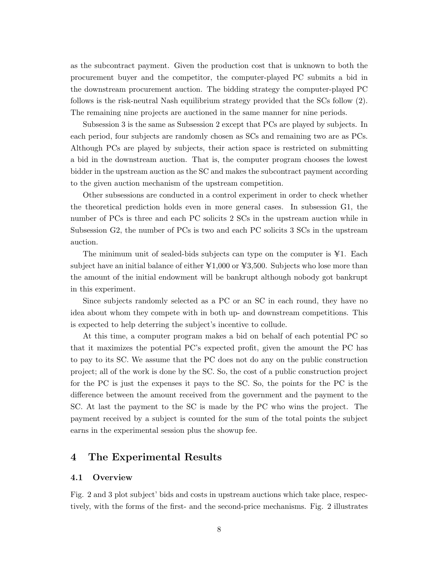as the subcontract payment. Given the production cost that is unknown to both the procurement buyer and the competitor, the computer-played PC submits a bid in the downstream procurement auction. The bidding strategy the computer-played PC follows is the risk-neutral Nash equilibrium strategy provided that the SCs follow (2). The remaining nine projects are auctioned in the same manner for nine periods.

Subsession 3 is the same as Subsession 2 except that PCs are played by subjects. In each period, four subjects are randomly chosen as SCs and remaining two are as PCs. Although PCs are played by subjects, their action space is restricted on submitting a bid in the downstream auction. That is, the computer program chooses the lowest bidder in the upstream auction as the SC and makes the subcontract payment according to the given auction mechanism of the upstream competition.

Other subsessions are conducted in a control experiment in order to check whether the theoretical prediction holds even in more general cases. In subsession G1, the number of PCs is three and each PC solicits 2 SCs in the upstream auction while in Subsession G2, the number of PCs is two and each PC solicits 3 SCs in the upstream auction.

The minimum unit of sealed-bids subjects can type on the computer is  $\yen 1$ . Each subject have an initial balance of either  $\yen 1,000$  or  $\yen 3,500$ . Subjects who lose more than the amount of the initial endowment will be bankrupt although nobody got bankrupt in this experiment.

Since subjects randomly selected as a PC or an SC in each round, they have no idea about whom they compete with in both up- and downstream competitions. This is expected to help deterring the subject's incentive to collude.

At this time, a computer program makes a bid on behalf of each potential PC so that it maximizes the potential PC's expected profit, given the amount the PC has to pay to its SC. We assume that the PC does not do any on the public construction project; all of the work is done by the SC. So, the cost of a public construction project for the PC is just the expenses it pays to the SC. So, the points for the PC is the difference between the amount received from the government and the payment to the SC. At last the payment to the SC is made by the PC who wins the project. The payment received by a subject is counted for the sum of the total points the subject earns in the experimental session plus the showup fee.

# 4 The Experimental Results

#### 4.1 Overview

Fig. 2 and 3 plot subject' bids and costs in upstream auctions which take place, respectively, with the forms of the first- and the second-price mechanisms. Fig. 2 illustrates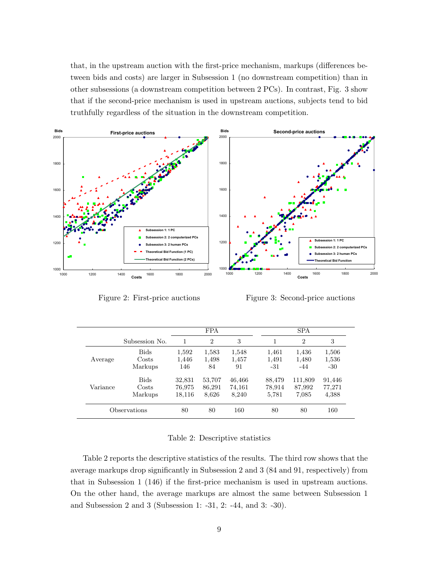that, in the upstream auction with the first-price mechanism, markups (differences between bids and costs) are larger in Subsession 1 (no downstream competition) than in other subsessions (a downstream competition between 2 PCs). In contrast, Fig. 3 show that if the second-price mechanism is used in upstream auctions, subjects tend to bid truthfully regardless of the situation in the downstream competition.



Figure 2: First-price auctions

Figure 3: Second-price auctions

|          |                |        | <b>FPA</b>     |        |        | <b>SPA</b>     |        |
|----------|----------------|--------|----------------|--------|--------|----------------|--------|
|          | Subsession No. |        | $\overline{2}$ | 3      |        | $\overline{2}$ | 3      |
|          | <b>Bids</b>    | 1,592  | 1,583          | 1,548  | 1,461  | 1,436          | 1,506  |
| Average  | Costs          | 1,446  | 1,498          | 1,457  | 1,491  | 1,480          | 1,536  |
|          | Markups        | 146    | 84             | 91     | -31    | $-44$          | $-30$  |
|          | <b>Bids</b>    | 32,831 | 53,707         | 46,466 | 88,479 | 111,809        | 91,446 |
| Variance | Costs          | 76,975 | 86,291         | 74,161 | 78,914 | 87,992         | 77,271 |
|          | Markups        | 18,116 | 8,626          | 8,240  | 5,781  | 7,085          | 4,388  |
|          | Observations   | 80     | 80             | 160    | 80     | 80             | 160    |

#### Table 2: Descriptive statistics

Table 2 reports the descriptive statistics of the results. The third row shows that the average markups drop significantly in Subsession 2 and 3 (84 and 91, respectively) from that in Subsession 1 (146) if the first-price mechanism is used in upstream auctions. On the other hand, the average markups are almost the same between Subsession 1 and Subsession 2 and 3 (Subsession 1: -31, 2: -44, and 3: -30).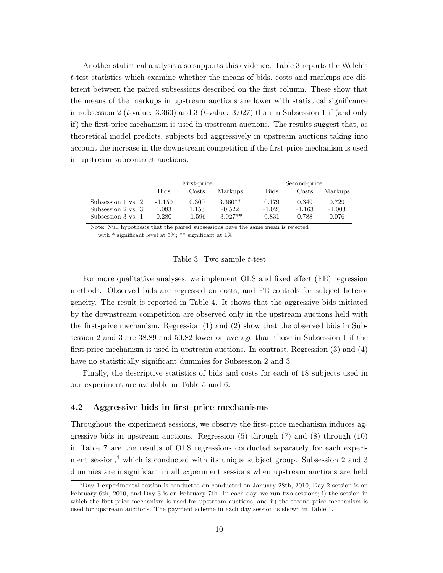Another statistical analysis also supports this evidence. Table 3 reports the Welch's *t*-test statistics which examine whether the means of bids, costs and markups are different between the paired subsessions described on the first column. These show that the means of the markups in upstream auctions are lower with statistical significance in subsession 2 (*t*-value: 3.360) and 3 (*t*-value: 3.027) than in Subsession 1 if (and only if) the first-price mechanism is used in upstream auctions. The results suggest that, as theoretical model predicts, subjects bid aggressively in upstream auctions taking into account the increase in the downstream competition if the first-price mechanism is used in upstream subcontract auctions.

|                    |          | First-price |            |          | Second-price |          |
|--------------------|----------|-------------|------------|----------|--------------|----------|
|                    | Bids     | Costs       | Markups    | Bids     | Costs        | Markups  |
| Subsession 1 vs. 2 | $-1.150$ | 0.300       | $3.360**$  | 0.179    | 0.349        | 0.729    |
| Subsession 2 vs. 3 | 1.083    | 1.153       | $-0.522$   | $-1.026$ | $-1.163$     | $-1.003$ |
| Subsession 3 vs. 1 | 0.280    | $-1.596$    | $-3.027**$ | 0.831    | 0.788        | 0.076    |

Note: Null hypothesis that the paired subsessions have the same mean is rejected with \* significant level at 5%; \*\* significant at  $1\%$ 

Table 3: Two sample *t*-test

For more qualitative analyses, we implement OLS and fixed effect (FE) regression methods. Observed bids are regressed on costs, and FE controls for subject heterogeneity. The result is reported in Table 4. It shows that the aggressive bids initiated by the downstream competition are observed only in the upstream auctions held with the first-price mechanism. Regression (1) and (2) show that the observed bids in Subsession 2 and 3 are 38.89 and 50.82 lower on average than those in Subsession 1 if the first-price mechanism is used in upstream auctions. In contrast, Regression (3) and (4) have no statistically significant dummies for Subsession 2 and 3.

Finally, the descriptive statistics of bids and costs for each of 18 subjects used in our experiment are available in Table 5 and 6.

#### 4.2 Aggressive bids in first-price mechanisms

Throughout the experiment sessions, we observe the first-price mechanism induces aggressive bids in upstream auctions. Regression (5) through (7) and (8) through (10) in Table 7 are the results of OLS regressions conducted separately for each experiment session, $4$  which is conducted with its unique subject group. Subsession 2 and 3 dummies are insignificant in all experiment sessions when upstream auctions are held

 $^{4}$ Day 1 experimental session is conducted on conducted on January 28th, 2010, Day 2 session is on February 6th, 2010, and Day 3 is on February 7th. In each day, we run two sessions; i) the session in which the first-price mechanism is used for upstream auctions, and ii) the second-price mechanism is used for upstream auctions. The payment scheme in each day session is shown in Table 1.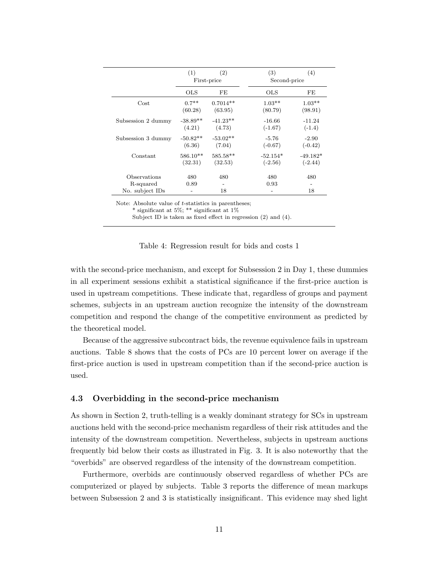|                              | (1)        | (2)<br>First-price | (3)<br>Second-price | $\left( 4\right)$              |
|------------------------------|------------|--------------------|---------------------|--------------------------------|
|                              | OLS        | FE                 | <b>OLS</b>          | FE                             |
| Cost                         | $0.7**$    | $0.7014**$         | $1.03**$            | $1.03**$                       |
|                              | (60.28)    | (63.95)            | (80.79)             | (98.91)                        |
| Subsession 2 dummy           | $-38.89**$ | $-41.23**$         | $-16.66$            | $-11.24$                       |
|                              | (4.21)     | (4.73)             | $(-1.67)$           | $(-1.4)$                       |
| Subsession 3 dummy           | $-50.82**$ | $-53.02**$         | $-5.76$             | $-2.90$                        |
|                              | (6.36)     | (7.04)             | $(-0.67)$           | $(-0.42)$                      |
| Constant                     | $586.10**$ | 585.58**           | $-52.154*$          | $-49.182*$                     |
|                              | (32.31)    | (32.53)            | $(-2.56)$           | $(-2.44)$                      |
| Observations                 | 480        | 480                | 480                 | 480                            |
| R-squared<br>No. subject IDs | 0.89       | 18                 | 0.93                | $\overline{\phantom{0}}$<br>18 |

Note: Absolute value of *t*-statistics in parentheses;

\* significant at 5%; \*\* significant at  $1\%$ 

Subject ID is taken as fixed effect in regression (2) and (4).

with the second-price mechanism, and except for Subsession 2 in Day 1, these dummies in all experiment sessions exhibit a statistical significance if the first-price auction is used in upstream competitions. These indicate that, regardless of groups and payment schemes, subjects in an upstream auction recognize the intensity of the downstream competition and respond the change of the competitive environment as predicted by the theoretical model.

Because of the aggressive subcontract bids, the revenue equivalence fails in upstream auctions. Table 8 shows that the costs of PCs are 10 percent lower on average if the first-price auction is used in upstream competition than if the second-price auction is used.

#### 4.3 Overbidding in the second-price mechanism

As shown in Section 2, truth-telling is a weakly dominant strategy for SCs in upstream auctions held with the second-price mechanism regardless of their risk attitudes and the intensity of the downstream competition. Nevertheless, subjects in upstream auctions frequently bid below their costs as illustrated in Fig. 3. It is also noteworthy that the "overbids" are observed regardless of the intensity of the downstream competition.

Furthermore, overbids are continuously observed regardless of whether PCs are computerized or played by subjects. Table 3 reports the difference of mean markups between Subsession 2 and 3 is statistically insignificant. This evidence may shed light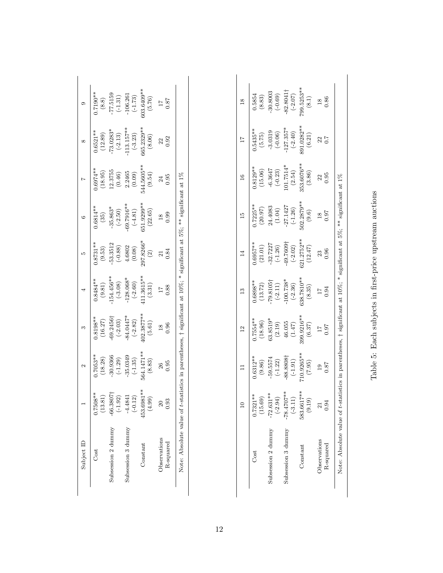| Subject ID                |                                                                                          |                                                                                                                 |                                                                                                            |                                                                                                                                                                |                                                                                                                                                       |                                                                                                                 |                                                                                                                    |                                                                                            |                                                                                       |
|---------------------------|------------------------------------------------------------------------------------------|-----------------------------------------------------------------------------------------------------------------|------------------------------------------------------------------------------------------------------------|----------------------------------------------------------------------------------------------------------------------------------------------------------------|-------------------------------------------------------------------------------------------------------------------------------------------------------|-----------------------------------------------------------------------------------------------------------------|--------------------------------------------------------------------------------------------------------------------|--------------------------------------------------------------------------------------------|---------------------------------------------------------------------------------------|
| Cost                      | $0.7508**$<br>3.81                                                                       | $0.7053**$                                                                                                      |                                                                                                            |                                                                                                                                                                |                                                                                                                                                       | $0.6814**$                                                                                                      |                                                                                                                    | $0.6521**$                                                                                 |                                                                                       |
| Subsession 2 dummy        |                                                                                          |                                                                                                                 | $\begin{array}{l} 0.8198^{**}\\ (16.27)\\ -69.2456\dagger\\ (-2.03)\\ (-84.0447^{*}\\ (-2.82) \end{array}$ |                                                                                                                                                                | $\begin{array}{l} 0.8731^{**} \\ (9.53) \\ (9.53) \\ (-0.88) \\ (4.6802 \\ (0.08) \\ (0.08) \\ (0.09) \\ (0.09) \\ (0.09) \\ (2) \\ 0.03 \end{array}$ |                                                                                                                 |                                                                                                                    | $\begin{array}{c} (12.89) \\ -73.0283^* \\ (-2.13) \\ 113.157^{**} \\ (-3.23) \end{array}$ | $0.7190**$<br>$(8.8)$<br>$(8.8)$<br>$-77.5159$<br>$(-1.31)$<br>$(-1.31)$<br>$(-1.73)$ |
| Subsession 3 dummy        | $\begin{array}{r} -66.3807 \ \text{+} \\ (-1.92) \\ -4.4841 \\ \text{+}0.12 \end{array}$ |                                                                                                                 |                                                                                                            |                                                                                                                                                                |                                                                                                                                                       |                                                                                                                 |                                                                                                                    |                                                                                            |                                                                                       |
| Constant                  | 453.6981**<br>(66)<br>Ë                                                                  | $\begin{array}{l} (18.28) \\ -30.9366 \\ (-1.29) \\ -35.0349 \\ (-1.35) \\ (-1.35) \\ 64.1471** \\ \end{array}$ | $\begin{array}{c} 402.3877^{**} \\ (5.61) \end{array}$                                                     | $\begin{array}{c} 0.8484^{**} \\ (9.81) \\ (9.81) \\ (-3.08) \\ (-3.08) \\ -128.068^{**} \\ (-2.60) \\ (2.60) \\ (1.3615^{**} \\ 411.3615^{**} \\ \end{array}$ |                                                                                                                                                       | $\begin{gathered}(35)\\ -35.863^*\\ -(2.50)\\ 69.7916^{**}\\ (-4.81)\\ -4.81)\\ 551.9299^{**}\\ \end{gathered}$ | $0.6974**$<br>$(18.95)$<br>$(12.3755$<br>$(0.46)$<br>$(0.46)$<br>$(2.2465$<br>$(0.09)$<br>$(0.09)$<br>$344.5605**$ | $665.2329***$<br>(8.06)                                                                    | $603.6409**$<br>(5.76)                                                                |
| Observations<br>R-squared |                                                                                          | 0.95<br>26                                                                                                      | 0.96<br>$\frac{8}{18}$                                                                                     | 0.88                                                                                                                                                           | $\frac{21}{0.84}$                                                                                                                                     | 0.99<br>$\frac{8}{18}$                                                                                          | 0.95<br>24                                                                                                         | 0.92<br>22                                                                                 | $^{78.0}_{71}$                                                                        |
| Note: Absolute value of a |                                                                                          | n parentheses.                                                                                                  |                                                                                                            |                                                                                                                                                                |                                                                                                                                                       | significant at $10\%$ ; * significant at $5\%$ ; ** significant at $1\%$                                        |                                                                                                                    |                                                                                            |                                                                                       |

| ;<br>;<br>۱<br>i                 |
|----------------------------------|
| i<br>ı<br>i<br>.<br>.<br>.<br>l  |
| $\sim$<br>I<br>ı<br>ł            |
| ţ<br>ì<br>$\mathbf{I}$<br>j<br>١ |
| $\frac{6}{1}$<br>$\frac{1}{1}$   |
| $\frac{1}{2}$<br>١<br>֚<br>į     |
| é<br>5<br>l<br>١                 |
|                                  |
| l<br>Į<br>j                      |

|                           |                           |                                                                                                                                                          | $\frac{2}{3}$                                                                                                      |                                                                                                                                                                            |                                                                                                                                                |                                                                                                      |                                                                                                                             |                                                                                                                                               | $\frac{8}{10}$                                                                                                                                                |
|---------------------------|---------------------------|----------------------------------------------------------------------------------------------------------------------------------------------------------|--------------------------------------------------------------------------------------------------------------------|----------------------------------------------------------------------------------------------------------------------------------------------------------------------------|------------------------------------------------------------------------------------------------------------------------------------------------|------------------------------------------------------------------------------------------------------|-----------------------------------------------------------------------------------------------------------------------------|-----------------------------------------------------------------------------------------------------------------------------------------------|---------------------------------------------------------------------------------------------------------------------------------------------------------------|
| Jost                      | $0.7321**$<br>(15.69)     |                                                                                                                                                          |                                                                                                                    |                                                                                                                                                                            |                                                                                                                                                |                                                                                                      |                                                                                                                             |                                                                                                                                               |                                                                                                                                                               |
| Subsession 2 dummy        | $-72.631*$<br>$(-2.94)$   |                                                                                                                                                          |                                                                                                                    |                                                                                                                                                                            |                                                                                                                                                |                                                                                                      |                                                                                                                             |                                                                                                                                               |                                                                                                                                                               |
| Subsession 3 dummy        | $-78.4707**$<br>$(-3.11)$ |                                                                                                                                                          |                                                                                                                    |                                                                                                                                                                            |                                                                                                                                                |                                                                                                      |                                                                                                                             |                                                                                                                                               |                                                                                                                                                               |
| Constant                  | 583.6617**<br>(9.19)      | $\begin{array}{l} 0.6312^{**} \\ (9.86) \\ (9.86) \\ -59.5574 \\ (-1.22) \\ (4.23) \\ (574) \\ (6.23) \\ (7.91) \\ (7.95)^{**} \\ (7.95) \\ \end{array}$ | $0.7554**$<br>$(18.96)$<br>$(3.8519*$<br>$(3.8519*$<br>$(2.19)$<br>$(46.055$<br>$(1.47)$<br>$(1.47)$<br>$(9.370**$ | $\begin{array}{l} 0.6898^{**} \\ (13.72) \\ (13.72) \\ (13.105\dagger \\ (-2.11) \\ (-2.11) \\ (-2.36)^{*} \\ (100.738^{**} \\ (-2.36) \\ (3.35) \\ (3.35) \\ \end{array}$ | $\begin{array}{c} (0.6957^{**} \\ (21.01) \\ -32.7227 \\ (-1.26) \\ (4.27) \\ (4.27) \\ (2.02) \\ (-2.02) \\ (2.32) \\ (12.47) \\ \end{array}$ | $0.7225**$<br>$(20.97)$<br>$24.4083$<br>$(1.04)$<br>$-27.1427$<br>$-27.1427$<br>$(-1.26)$<br>$(9.6)$ | $\begin{array}{l} 0.8129^{**}\\ (15.06)\\ -6.3647\\ (-0.23)\\ 101.7514^{*}\\ (2.54)\\ (2.54)\\ (3.86)76^{**}\\ \end{array}$ | $\begin{array}{c} 0.5435^{**} \\ (5.75) \\ -3.0319 \\ (-0.06) \\ (-127.357^{**} \\ (-2.40) \\ (-2.40) \\ \textrm{891.0282}^{***} \end{array}$ | $\begin{array}{r} 0.5854 \\ (8.83) \\ (8.83) \\ -30.8003 \\ (-0.69) \\ +22.8041\dagger \\ -22.8041\dagger \\ (2.07) \\ (9.5253^{***} \\ (8.1) \\ \end{array}$ |
| Observations<br>R-squared | 0.94                      | 187<br>$\overline{0}$                                                                                                                                    | $^{76.0}_{-11}$                                                                                                    | 0.94<br>$\overline{11}$                                                                                                                                                    | 0.96<br>$\frac{23}{2}$                                                                                                                         | 0.97<br>$\frac{18}{1}$                                                                               | 0.95<br>$\overline{22}$                                                                                                     | 22<br>0.7                                                                                                                                     | $\frac{18}{0.86}$                                                                                                                                             |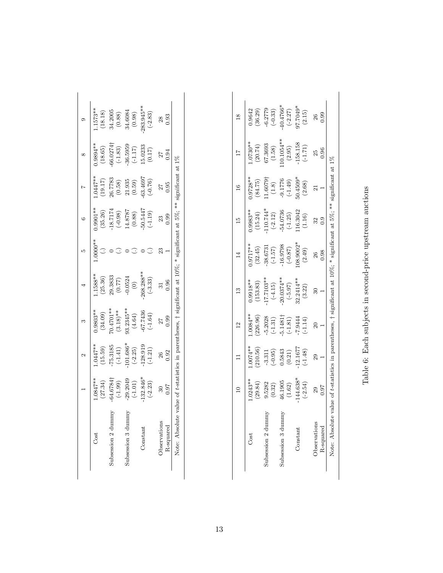| Jost                                              | $.0847**$<br>(27.34)                          | $.0447***$<br>(15.59)                                                              | $0.9803**$                                                                                       | $.1588**$<br>(25.36)                                        | $0.9901**$<br>$(35.26)$                                                                         | $.0447**$<br>(19.17)                                                                                 | $-9894**$<br>(18.65)                                                                |                                                                                                                                          |
|---------------------------------------------------|-----------------------------------------------|------------------------------------------------------------------------------------|--------------------------------------------------------------------------------------------------|-------------------------------------------------------------|-------------------------------------------------------------------------------------------------|------------------------------------------------------------------------------------------------------|-------------------------------------------------------------------------------------|------------------------------------------------------------------------------------------------------------------------------------------|
| bsession 2                                        | 64.6784<br>$(-1.99)$                          |                                                                                    | $\begin{array}{l} (34.09) \\ (34.09) \\ (3.18) * \\ (3.18) * \\ (4.64) \\ (-67.7436 \end{array}$ |                                                             |                                                                                                 |                                                                                                      |                                                                                     | $1.1573**$<br>$(18.18)$<br>$(34.2005$<br>$(0.88)$<br>$(0.88)$<br>$(0.984$<br>$(0.984)$<br>$(0.984)$<br>$(0.98)$<br>$(0.98)$<br>$(0.383)$ |
| ubsession $3c$                                    | $-29.2049$<br>(-1.01)<br>-132.846*<br>(-2.23) | $-75.3185$<br>$(-1.41)$<br>$-1.01.686*$<br>$(-2.25)$<br>$(-2.25)$<br>$(-1.28.919)$ |                                                                                                  | $\begin{array}{c} 29.3833 \\ (0.77) \\ -0.0524 \end{array}$ | $\begin{array}{c} 18.7174 \\ (-0.98) \\ 14.8787 \\ (0.88) \\ 0.5447 \\ -50.5447 \\ \end{array}$ | $\begin{array}{c} 26.7783 \\ (0.58) \\ 21.935 \\ (0.59) \\ (63.4697 \\ \textbf{63.4697} \end{array}$ |                                                                                     |                                                                                                                                          |
| <b>Constant</b>                                   |                                               |                                                                                    |                                                                                                  | $268.288**$<br>(-3.33)                                      |                                                                                                 |                                                                                                      | $-66.0274\dagger$<br>$(-1.83)$<br>$-36.5959$<br>$(-1.17)$<br>$15.0233$<br>$15.0233$ |                                                                                                                                          |
| <b>J</b> bservations<br>R-squarec                 | 0.97                                          | 0.92                                                                               | 0.99                                                                                             |                                                             |                                                                                                 | 0.95                                                                                                 | D.<br>94                                                                            |                                                                                                                                          |
| Jote: Absolute value of <i>t</i> -statistics in p |                                               |                                                                                    |                                                                                                  |                                                             | $10\%$ : * significant at 5%; ** significant at                                                 |                                                                                                      |                                                                                     |                                                                                                                                          |

| )                                                                 |
|-------------------------------------------------------------------|
| $\frac{1}{2}$<br>ł<br>I                                           |
| CONFIDENTIAL TRANSPORTATION CONFIDENTIAL<br>)<br>I<br>ł<br>ı<br>j |
| $\vdots$                                                          |
| ١<br>2                                                            |
| ہ<br>بہ<br>j<br>$\frac{1}{2}$<br>ļ                                |
| $\dot{\epsilon}$                                                  |
| ا ما م<br>l                                                       |

|                           |                                                                                                                                    |                                                                                                          |                                                                                                      |                                                                                                                  |                                                                                                                           |                                                                                                      |                                                                                                                                                                         |                                                                                                    | $\frac{8}{18}$                                                                                                  |
|---------------------------|------------------------------------------------------------------------------------------------------------------------------------|----------------------------------------------------------------------------------------------------------|------------------------------------------------------------------------------------------------------|------------------------------------------------------------------------------------------------------------------|---------------------------------------------------------------------------------------------------------------------------|------------------------------------------------------------------------------------------------------|-------------------------------------------------------------------------------------------------------------------------------------------------------------------------|----------------------------------------------------------------------------------------------------|-----------------------------------------------------------------------------------------------------------------|
| Cost                      | $.0243**$                                                                                                                          | $**F200.$                                                                                                | $-0084**$                                                                                            | $0.9918**$                                                                                                       | $.9717**$                                                                                                                 | $0.9983**$                                                                                           |                                                                                                                                                                         |                                                                                                    | 0.9642                                                                                                          |
| Subsession 2 dummy        |                                                                                                                                    |                                                                                                          | $\begin{array}{c} (226.96) \\ -5.2028 \\ (-1.31) \\ 5.1481\dagger \\ (-1.81) \\ (-1.81) \end{array}$ |                                                                                                                  |                                                                                                                           |                                                                                                      |                                                                                                                                                                         |                                                                                                    |                                                                                                                 |
| Subsession 3 dummy        |                                                                                                                                    |                                                                                                          |                                                                                                      |                                                                                                                  |                                                                                                                           |                                                                                                      |                                                                                                                                                                         |                                                                                                    |                                                                                                                 |
| Constant                  | $\begin{array}{c} (29.84) \\ 9.5282 \\ (0.32) \\ 46.1905 \\ (1.62) \\ (1.62) \\ (1.63)^{*}\\ 144.638^{*}\\ (-2.54) \\ \end{array}$ | $\begin{array}{l} (210.56) \\ -3.311 \\ (-0.95) \\ 0.5843 \\ (0.21) \\ (0.21) \\ 12.1677 \\ \end{array}$ | (11.14)<br>1756.7                                                                                    | $\begin{array}{c} (153.83) \\ 17.7103^{**} \\ (-4.15) \\ 20.0374^{**} \\ (-5.97) \\ (3.2414^{**} \\ \end{array}$ | $\begin{array}{l} (32.45) \\ (32.45) \\ (-1.57) \\ \textbf{-16.9798} \\ (-0.87) \\ (0.902^{**}) \\ (2.49) \\ \end{array}$ | $\begin{array}{l} (15.24)\\ 110.744*\\ (-2.12)\\ -54.0736\\ (-1.25)\\ 116.3042\\ (1.16) \end{array}$ | $\begin{array}{l} 0.9728^{**} \\ (84.75) \\ (1.6079\dagger \\ (1.8) \\ (1.8) \\ (-1.49) \\ (-1.49) \\ (6.4509^{**} \\ (7.69) \\ (1.49) \\ (1.49) \\ (2.68) \end{array}$ | $1.0730**$<br>$(20.74)$<br>$67.3693$<br>$(1.58)$<br>$(1.58)$<br>$(2.95)$<br>$(2.95)$<br>$-158.158$ | $\begin{array}{l} (36.29) \\ -6.2779 \\ (-0.33) \\ 40.4766^* \\ (-2.27) \\ (-2.27) \\ 97.7049^* \\ \end{array}$ |
| Observations<br>R-squared | 0.07                                                                                                                               |                                                                                                          |                                                                                                      |                                                                                                                  | 0.98                                                                                                                      | 0.9                                                                                                  |                                                                                                                                                                         | 0.96<br>25                                                                                         | 0.99<br>26                                                                                                      |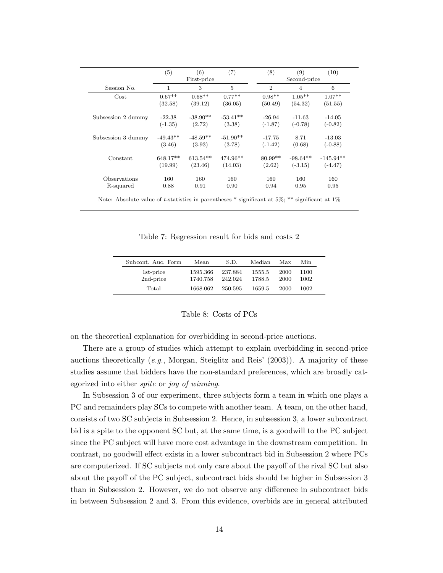|                    | (5)        | (6)<br>First-price | (7)            | (8)            | (9)<br>Second-price | (10)        |
|--------------------|------------|--------------------|----------------|----------------|---------------------|-------------|
| Session No.        | 1          | 3                  | $\overline{5}$ | $\overline{2}$ | $\overline{4}$      | 6           |
| Cost               | $0.67**$   | $0.68**$           | $0.77**$       | $0.98**$       | $1.05***$           | $1.07**$    |
|                    | (32.58)    | (39.12)            | (36.05)        | (50.49)        | (54.32)             | (51.55)     |
| Subsession 2 dummy | $-22.38$   | $-38.90**$         | $-53.41**$     | $-26.94$       | $-11.63$            | $-14.05$    |
|                    | $(-1.35)$  | (2.72)             | (3.38)         | $(-1.87)$      | $(-0.78)$           | $(-0.82)$   |
| Subsession 3 dummy | $-49.43**$ | $-48.59**$         | $-51.90**$     | $-17.75$       | 8.71                | $-13.03$    |
|                    | (3.46)     | (3.93)             | (3.78)         | $(-1.42)$      | (0.68)              | $(-0.88)$   |
| Constant           | 648.17**   | $613.54**$         | 474.96**       | $80.99**$      | $-98.64**$          | $-145.94**$ |
|                    | (19.99)    | (23.46)            | (14.03)        | (2.62)         | $(-3.15)$           | $(-4.47)$   |
| Observations       | 160        | 160                | 160            | 160            | 160                 | 160         |
| R-squared          | 0.88       | 0.91               | 0.90           | 0.94           | 0.95                | 0.95        |

Note: Absolute value of *t*-statistics in parentheses \* significant at 5%; \*\* significant at 1%

Table 7: Regression result for bids and costs 2

| Subcont. Auc. Form     | Mean                 | S.D.               | Median           | Max          | Min          |
|------------------------|----------------------|--------------------|------------------|--------------|--------------|
| 1st-price<br>2nd-price | 1595.366<br>1740.758 | 237.884<br>242.024 | 1555.5<br>1788.5 | 2000<br>2000 | 1100<br>1002 |
| Total                  | 1668.062             | 250.595            | 1659.5           | 2000         | 1002         |

### Table 8: Costs of PCs

on the theoretical explanation for overbidding in second-price auctions.

There are a group of studies which attempt to explain overbidding in second-price auctions theoretically (*e.g.*, Morgan, Steiglitz and Reis' (2003)). A majority of these studies assume that bidders have the non-standard preferences, which are broadly categorized into either *spite* or *joy of winning*.

In Subsession 3 of our experiment, three subjects form a team in which one plays a PC and remainders play SCs to compete with another team. A team, on the other hand, consists of two SC subjects in Subsession 2. Hence, in subsession 3, a lower subcontract bid is a spite to the opponent SC but, at the same time, is a goodwill to the PC subject since the PC subject will have more cost advantage in the downstream competition. In contrast, no goodwill effect exists in a lower subcontract bid in Subsession 2 where PCs are computerized. If SC subjects not only care about the payoff of the rival SC but also about the payoff of the PC subject, subcontract bids should be higher in Subsession 3 than in Subsession 2. However, we do not observe any difference in subcontract bids in between Subsession 2 and 3. From this evidence, overbids are in general attributed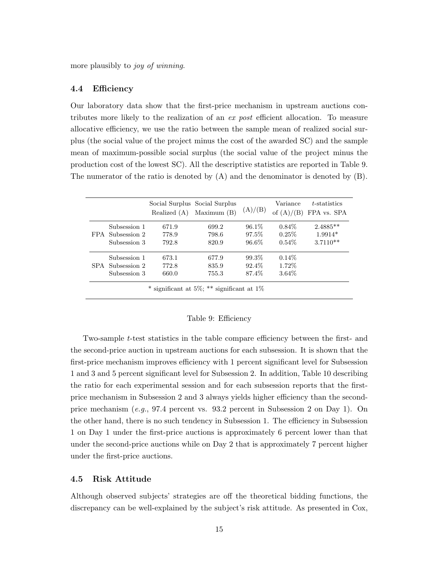more plausibly to *joy of winning*.

#### 4.4 Efficiency

Our laboratory data show that the first-price mechanism in upstream auctions contributes more likely to the realization of an *ex post* efficient allocation. To measure allocative efficiency, we use the ratio between the sample mean of realized social surplus (the social value of the project minus the cost of the awarded SC) and the sample mean of maximum-possible social surplus (the social value of the project minus the production cost of the lowest SC). All the descriptive statistics are reported in Table 9. The numerator of the ratio is denoted by (A) and the denominator is denoted by (B).

|                  | Realized (A) | Social Surplus Social Surplus<br>Maximum $(B)$ | (A)/(B)  | Variance<br>of $(A)/(B)$ | t-statistics<br>FPA vs. SPA |
|------------------|--------------|------------------------------------------------|----------|--------------------------|-----------------------------|
| Subsession 1     | 671.9        | 699.2                                          | $96.1\%$ | $0.84\%$                 | $2.4885**$                  |
| FPA Subsession 2 | 778.9        | 798.6                                          | 97.5%    | $0.25\%$                 | $1.9914*$                   |
| Subsession 3     | 792.8        | 820.9                                          | 96.6%    | $0.54\%$                 | $3.7110**$                  |
| Subsession 1     | 673.1        | 677.9                                          | 99.3%    | $0.14\%$                 |                             |
| SPA Subsession 2 | 772.8        | 835.9                                          | 92.4\%   | 1.72\%                   |                             |
| Subsession 3     | 660.0        | 755.3                                          | 87.4%    | 3.64\%                   |                             |

#### Table 9: Efficiency

Two-sample *t*-test statistics in the table compare efficiency between the first- and the second-price auction in upstream auctions for each subsession. It is shown that the first-price mechanism improves efficiency with 1 percent significant level for Subsession 1 and 3 and 5 percent significant level for Subsession 2. In addition, Table 10 describing the ratio for each experimental session and for each subsession reports that the firstprice mechanism in Subsession 2 and 3 always yields higher efficiency than the secondprice mechanism (*e.g.*, 97.4 percent vs. 93.2 percent in Subsession 2 on Day 1). On the other hand, there is no such tendency in Subsession 1. The efficiency in Subsession 1 on Day 1 under the first-price auctions is approximately 6 percent lower than that under the second-price auctions while on Day 2 that is approximately 7 percent higher under the first-price auctions.

#### 4.5 Risk Attitude

Although observed subjects' strategies are off the theoretical bidding functions, the discrepancy can be well-explained by the subject's risk attitude. As presented in Cox,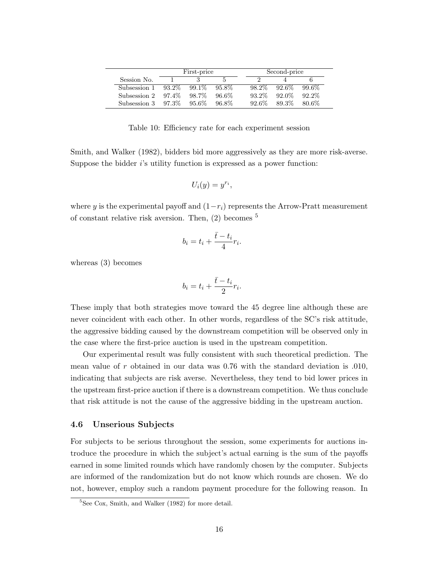|              |          | First-price |          |          | Second-price |          |  |
|--------------|----------|-------------|----------|----------|--------------|----------|--|
| Session No.  |          |             |          |          |              |          |  |
| Subsession 1 | $93.2\%$ | $99.1\%$    | 95.8%    | 98.2%    | $92.6\%$     | $99.6\%$ |  |
| Subsession 2 | 97.4%    | 98.7%       | $96.6\%$ | $93.2\%$ | $92.0\%$     | $92.2\%$ |  |
| Subsession 3 | -97.3%   | $95.6\%$    | 96.8%    | $92.6\%$ | 89.3%        | 80.6%    |  |

Table 10: Efficiency rate for each experiment session

Smith, and Walker (1982), bidders bid more aggressively as they are more risk-averse. Suppose the bidder *i*'s utility function is expressed as a power function:

$$
U_i(y)=y^{r_i},
$$

where *y* is the experimental payoff and  $(1-r_i)$  represents the Arrow-Pratt measurement of constant relative risk aversion. Then, (2) becomes <sup>5</sup>

$$
b_i = t_i + \frac{\bar{t} - t_i}{4}r_i.
$$

whereas (3) becomes

$$
b_i = t_i + \frac{\bar{t} - t_i}{2}r_i.
$$

These imply that both strategies move toward the 45 degree line although these are never coincident with each other. In other words, regardless of the SC's risk attitude, the aggressive bidding caused by the downstream competition will be observed only in the case where the first-price auction is used in the upstream competition.

Our experimental result was fully consistent with such theoretical prediction. The mean value of *r* obtained in our data was 0.76 with the standard deviation is .010, indicating that subjects are risk averse. Nevertheless, they tend to bid lower prices in the upstream first-price auction if there is a downstream competition. We thus conclude that risk attitude is not the cause of the aggressive bidding in the upstream auction.

#### 4.6 Unserious Subjects

For subjects to be serious throughout the session, some experiments for auctions introduce the procedure in which the subject's actual earning is the sum of the payoffs earned in some limited rounds which have randomly chosen by the computer. Subjects are informed of the randomization but do not know which rounds are chosen. We do not, however, employ such a random payment procedure for the following reason. In

<sup>5</sup>See Cox, Smith, and Walker (1982) for more detail.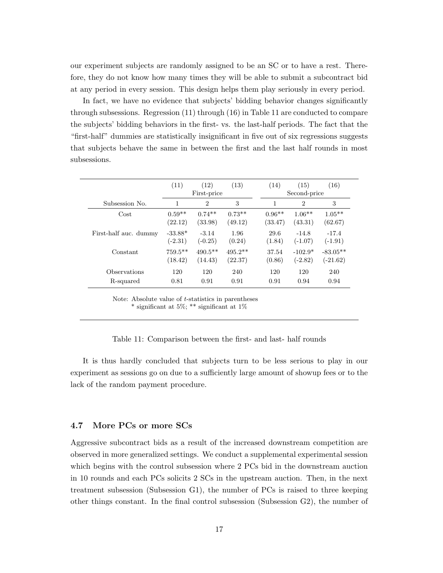our experiment subjects are randomly assigned to be an SC or to have a rest. Therefore, they do not know how many times they will be able to submit a subcontract bid at any period in every session. This design helps them play seriously in every period.

In fact, we have no evidence that subjects' bidding behavior changes significantly through subsessions. Regression (11) through (16) in Table 11 are conducted to compare the subjects' bidding behaviors in the first- vs. the last-half periods. The fact that the "first-half" dummies are statistically insignificant in five out of six regressions suggests that subjects behave the same in between the first and the last half rounds in most subsessions.

|                       | (11)       | (12)<br>First-price | (13)      | (14)     | (15)<br>Second-price | (16)       |
|-----------------------|------------|---------------------|-----------|----------|----------------------|------------|
| Subsession No.        | 1          | $\overline{2}$      | 3         | 1        | $\overline{2}$       | 3          |
| Cost                  | $0.59**$   | $0.74**$            | $0.73**$  | $0.96**$ | $1.06***$            | $1.05***$  |
|                       | (22.12)    | (33.98)             | (49.12)   | (33.47)  | (43.31)              | (62.67)    |
| First-half auc. dummy | $-33.88*$  | $-3.14$             | 1.96      | 29.6     | $-14.8$              | $-17.4$    |
|                       | $(-2.31)$  | $(-0.25)$           | (0.24)    | (1.84)   | $(-1.07)$            | $(-1.91)$  |
| Constant              | $759.5***$ | $490.5***$          | $495.2**$ | 37.54    | $-102.9*$            | $-83.05**$ |
|                       | (18.42)    | (14.43)             | (22.37)   | (0.86)   | $(-2.82)$            | $(-21.62)$ |
| Observations          | 120        | 120                 | 240       | 120      | 120                  | 240        |
| R-squared             | 0.81       | 0.91                | 0.91      | 0.91     | 0.94                 | 0.94       |

Note: Absolute value of *t*-statistics in parentheses

\* significant at 5%; \*\* significant at 1%

#### Table 11: Comparison between the first- and last- half rounds

It is thus hardly concluded that subjects turn to be less serious to play in our experiment as sessions go on due to a sufficiently large amount of showup fees or to the lack of the random payment procedure.

#### 4.7 More PCs or more SCs

Aggressive subcontract bids as a result of the increased downstream competition are observed in more generalized settings. We conduct a supplemental experimental session which begins with the control subsession where 2 PCs bid in the downstream auction in 10 rounds and each PCs solicits 2 SCs in the upstream auction. Then, in the next treatment subsession (Subsession G1), the number of PCs is raised to three keeping other things constant. In the final control subsession (Subsession G2), the number of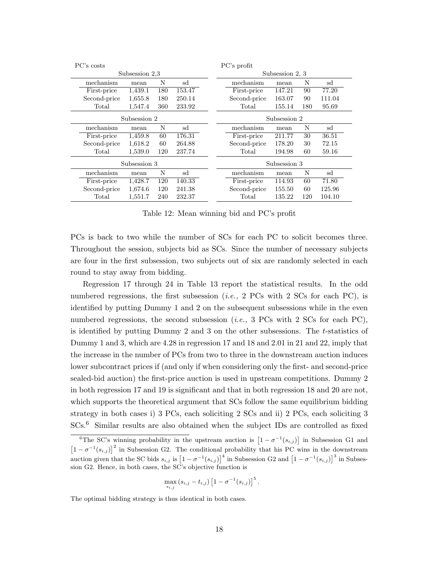| PC's costs   |                |     |        | PC's profit    |                 |     |        |  |
|--------------|----------------|-----|--------|----------------|-----------------|-----|--------|--|
|              | Subsession 2.3 |     |        |                | Subsession 2, 3 |     |        |  |
| mechanism    | mean           | N   | sd     | mechanism      | mean            | N   | sd     |  |
| First-price  | 1,439.1        | 180 | 153.47 | First-price    | 147.21          | 90  | 77.20  |  |
| Second-price | 1,655.8        | 180 | 250.14 | Second-price   | 163.07          | 90  | 111.04 |  |
| Total        | 1,547.4        | 360 | 233.92 | Total          | 155.14          | 180 | 95.69  |  |
|              | Subsession 2   |     |        |                | Subsession 2    |     |        |  |
| mechanism    | mean           | N   | sd     | mechanism      | mean            | N   | sd     |  |
| First-price  | 1,459.8        | 60  | 176.31 | First-price    | 211.77          | 30  | 36.51  |  |
| Second-price | 1,618.2        | 60  | 264.88 | Second-price   | 178.20          | 30  | 72.15  |  |
| Total        | 1,539.0        | 120 | 237.74 | Total          | 194.98          | 60  | 59.16  |  |
|              | Subsession 3   |     |        |                | Subsession 3    |     |        |  |
| mechanism    | mean           | N   | sd     | mechanism      | mean            | N   | sd     |  |
| First-price  | 1,428.7        | 120 | 140.33 | First-price    | 114.93          | 60  | 71.80  |  |
| Second-price | 1,674.6        | 120 | 241.38 | Second-price   | 155.50          | 60  | 125.96 |  |
| Total        | 1,551.7        | 240 | 232.37 | $\text{Total}$ | 135.22          | 120 | 104.10 |  |

Table 12: Mean winning bid and PC's profit

PCs is back to two while the number of SCs for each PC to solicit becomes three. Throughout the session, subjects bid as SCs. Since the number of necessary subjects are four in the first subsession, two subjects out of six are randomly selected in each round to stay away from bidding.

Regression 17 through 24 in Table 13 report the statistical results. In the odd numbered regressions, the first subsession (*i.e.,* 2 PCs with 2 SCs for each PC), is identified by putting Dummy 1 and 2 on the subsequent subsessions while in the even numbered regressions, the second subsession (*i.e.,* 3 PCs with 2 SCs for each PC), is identified by putting Dummy 2 and 3 on the other subsessions. The *t*-statistics of Dummy 1 and 3, which are 4.28 in regression 17 and 18 and 2.01 in 21 and 22, imply that the increase in the number of PCs from two to three in the downstream auction induces lower subcontract prices if (and only if when considering only the first- and second-price sealed-bid auction) the first-price auction is used in upstream competitions. Dummy 2 in both regression 17 and 19 is significant and that in both regression 18 and 20 are not, which supports the theoretical argument that SCs follow the same equilibrium bidding strategy in both cases i) 3 PCs, each soliciting 2 SCs and ii) 2 PCs, each soliciting 3 SCs.<sup>6</sup> Similar results are also obtained when the subject IDs are controlled as fixed

$$
\max_{s_{i,j}} \left(s_{i,j} - t_{i,j}\right) \left[1 - \sigma^{-1}(s_{i,j})\right]^5.
$$

The optimal bidding strategy is thus identical in both cases.

<sup>&</sup>lt;sup>6</sup>The SC's winning probability in the upstream auction is  $\left[1 - \sigma^{-1}(s_{i,j})\right]$  in Subsession G1 and  $\left[1 - \sigma^{-1}(s_{i,j})\right]^2$  in Subsession G2. The conditional probability that his PC wins in the downstream auction given that the SC bids  $s_{i,j}$  is  $\left[1 - \sigma^{-1}(s_{i,j})\right]^4$  in Subsession G2 and  $\left[1 - \sigma^{-1}(s_{i,j})\right]^3$  in Subsession G2. Hence, in both cases, the SC's objective function is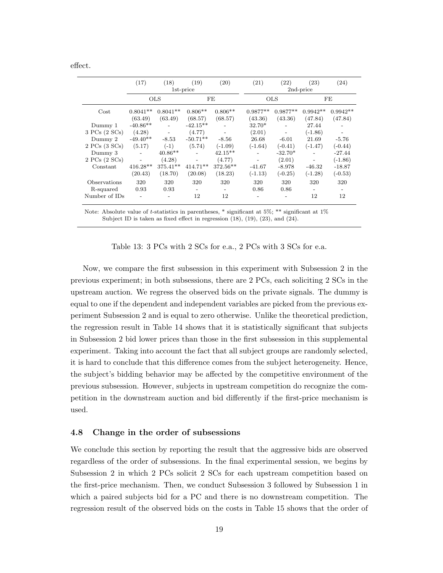effect.

|                   | (17)                     | (18)       | (19)                     | (20)                     | (21)       | (22)                     | (23)                     | (24)       |  |  |
|-------------------|--------------------------|------------|--------------------------|--------------------------|------------|--------------------------|--------------------------|------------|--|--|
|                   |                          |            | 1st-price                |                          |            | 2nd-price                |                          |            |  |  |
|                   |                          | <b>OLS</b> |                          | FE                       |            | <b>OLS</b>               |                          | FE         |  |  |
| Cost              | $0.8041**$               | $0.8041**$ | $0.806**$                | $0.806**$                | $0.9877**$ | $0.9877**$               | $0.9942**$               | $0.9942**$ |  |  |
|                   | (63.49)                  | (63.49)    | (68.57)                  | (68.57)                  | (43.36)    | (43.36)                  | (47.84)                  | (47.84)    |  |  |
| Dummy 1           | $-40.86**$               |            | $-42.15**$               |                          | 32.70*     |                          | 27.44                    |            |  |  |
| 3 PCs (2 SCs)     | (4.28)                   |            | (4.77)                   |                          | (2.01)     |                          | $(-1.86)$                |            |  |  |
| Dummy 2           | $-49.40**$               | $-8.53$    | $-50.71**$               | $-8.56$                  | 26.68      | $-6.01$                  | 21.69                    | $-5.76$    |  |  |
| $2$ PCs $(3$ SCs) | (5.17)                   | $(-1)$     | (5.74)                   | $(-1.09)$                | $(-1.64)$  | $(-0.41)$                | $(-1.47)$                | $(-0.44)$  |  |  |
| Dummy 3           | $\overline{\phantom{a}}$ | $40.86**$  | $\overline{a}$           | $42.15**$                |            | $-32.70*$                |                          | $-27.44$   |  |  |
| $2$ PCs $(2$ SCs) | $\overline{\phantom{0}}$ | (4.28)     |                          | (4.77)                   |            | (2.01)                   |                          | $(-1.86)$  |  |  |
| Constant          | 416.28**                 | 375.41**   | 414.71**                 | $372.56**$               | $-41.67$   | $-8.978$                 | $-46.32$                 | $-18.87$   |  |  |
|                   | (20.43)                  | (18.70)    | (20.08)                  | (18.23)                  | $(-1.13)$  | $(-0.25)$                | $(-1.28)$                | $(-0.53)$  |  |  |
| Observations      | 320                      | 320        | 320                      | 320                      | 320        | 320                      | 320                      | 320        |  |  |
| R-squared         | 0.93                     | 0.93       | $\overline{\phantom{a}}$ | $\overline{\phantom{a}}$ | 0.86       | 0.86                     | $\overline{\phantom{a}}$ |            |  |  |
| Number of IDs     | $\overline{\phantom{a}}$ |            | 12                       | 12                       |            | $\overline{\phantom{0}}$ | 12                       | 12         |  |  |
|                   |                          |            |                          |                          |            |                          |                          |            |  |  |

Note: Absolute value of *t*-statistics in parentheses, \* significant at 5%; \*\* significant at 1% Subject ID is taken as fixed effect in regression  $(18)$ ,  $(19)$ ,  $(23)$ , and  $(24)$ .

Table 13: 3 PCs with 2 SCs for e.a., 2 PCs with 3 SCs for e.a.

Now, we compare the first subsession in this experiment with Subsession 2 in the previous experiment; in both subsessions, there are 2 PCs, each soliciting 2 SCs in the upstream auction. We regress the observed bids on the private signals. The dummy is equal to one if the dependent and independent variables are picked from the previous experiment Subsession 2 and is equal to zero otherwise. Unlike the theoretical prediction, the regression result in Table 14 shows that it is statistically significant that subjects in Subsession 2 bid lower prices than those in the first subsession in this supplemental experiment. Taking into account the fact that all subject groups are randomly selected, it is hard to conclude that this difference comes from the subject heterogeneity. Hence, the subject's bidding behavior may be affected by the competitive environment of the previous subsession. However, subjects in upstream competition do recognize the competition in the downstream auction and bid differently if the first-price mechanism is used.

#### 4.8 Change in the order of subsessions

We conclude this section by reporting the result that the aggressive bids are observed regardless of the order of subsessions. In the final experimental session, we begins by Subsession 2 in which 2 PCs solicit 2 SCs for each upstream competition based on the first-price mechanism. Then, we conduct Subsession 3 followed by Subsession 1 in which a paired subjects bid for a PC and there is no downstream competition. The regression result of the observed bids on the costs in Table 15 shows that the order of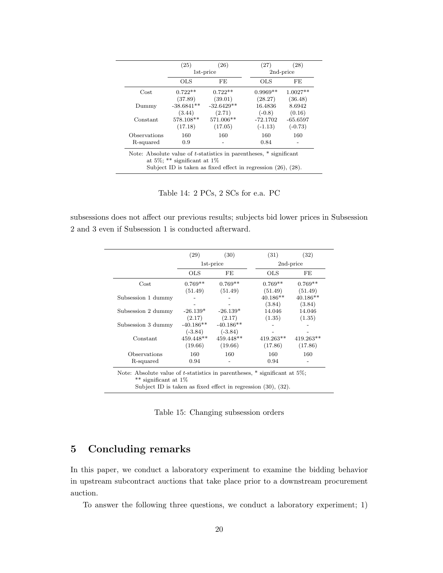|              | (25)                          | (26)                                                                    | (27)       | (28)       |
|--------------|-------------------------------|-------------------------------------------------------------------------|------------|------------|
|              |                               | 1st-price                                                               |            | 2nd-price  |
|              | <b>OLS</b>                    | FE                                                                      | OLS        | FE         |
| Cost         | $0.722**$                     | $0.722**$                                                               | $0.9969**$ | $1.0027**$ |
|              | (37.89)                       | (39.01)                                                                 | (28.27)    | (36.48)    |
| Dummy        | $-38.6841**$                  | $-32.6429**$                                                            | 16.4836    | 8.6942     |
|              | (3.44)                        | (2.71)                                                                  | $(-0.8)$   | (0.16)     |
| Constant     | 578.108**                     | 571.006**                                                               | $-72.1702$ | $-65.6597$ |
|              | (17.18)                       | (17.05)                                                                 | $(-1.13)$  | $(-0.73)$  |
| Observations | 160                           | 160                                                                     | 160        | 160        |
| R-squared    | 0.9                           |                                                                         | 0.84       |            |
|              |                               | Note: Absolute value of $t$ -statistics in parentheses, $*$ significant |            |            |
|              | at 5\%; ** significant at 1\% |                                                                         |            |            |
|              |                               | Subject ID is taken as fixed effect in regression $(26)$ , $(28)$ .     |            |            |

Table 14: 2 PCs, 2 SCs for e.a. PC

subsessions does not affect our previous results; subjects bid lower prices in Subsession 2 and 3 even if Subsession 1 is conducted afterward.

|                    | (29)        | (30)        | (31)        | (32)        |
|--------------------|-------------|-------------|-------------|-------------|
|                    |             | 1st-price   |             | 2nd-price   |
|                    | OLS         | FE          | <b>OLS</b>  | FE          |
| $\cos t$           | $0.769**$   | $0.769**$   | $0.769**$   | $0.769**$   |
|                    | (51.49)     | (51.49)     | (51.49)     | (51.49)     |
| Subsession 1 dummy |             |             | $40.186**$  | $40.186**$  |
|                    |             |             | (3.84)      | (3.84)      |
| Subsession 2 dummy | $-26.139*$  | $-26.139*$  | 14.046      | 14.046      |
|                    | (2.17)      | (2.17)      | (1.35)      | (1.35)      |
| Subsession 3 dummy | $-40.186**$ | $-40.186**$ |             |             |
|                    | $(-3.84)$   | $(-3.84)$   |             |             |
| Constant           | $459.448**$ | $459.448**$ | $419.263**$ | $419.263**$ |
|                    | (19.66)     | (19.66)     | (17.86)     | (17.86)     |
| Observations       | 160         | 160         | 160         | 160         |
| R-squared          | 0.94        |             | 0.94        |             |

Note: Absolute value of *t*-statistics in parentheses, \* significant at 5%; \*\* significant at 1%

Subject ID is taken as fixed effect in regression (30), (32).

Table 15: Changing subsession orders

# 5 Concluding remarks

In this paper, we conduct a laboratory experiment to examine the bidding behavior in upstream subcontract auctions that take place prior to a downstream procurement auction.

To answer the following three questions, we conduct a laboratory experiment; 1)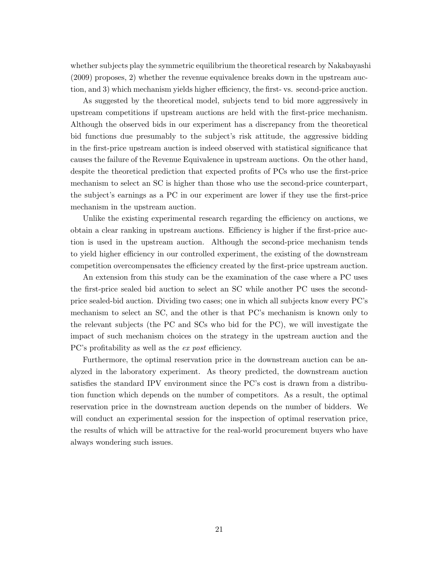whether subjects play the symmetric equilibrium the theoretical research by Nakabayashi (2009) proposes, 2) whether the revenue equivalence breaks down in the upstream auction, and 3) which mechanism yields higher efficiency, the first- vs. second-price auction.

As suggested by the theoretical model, subjects tend to bid more aggressively in upstream competitions if upstream auctions are held with the first-price mechanism. Although the observed bids in our experiment has a discrepancy from the theoretical bid functions due presumably to the subject's risk attitude, the aggressive bidding in the first-price upstream auction is indeed observed with statistical significance that causes the failure of the Revenue Equivalence in upstream auctions. On the other hand, despite the theoretical prediction that expected profits of PCs who use the first-price mechanism to select an SC is higher than those who use the second-price counterpart, the subject's earnings as a PC in our experiment are lower if they use the first-price mechanism in the upstream auction.

Unlike the existing experimental research regarding the efficiency on auctions, we obtain a clear ranking in upstream auctions. Efficiency is higher if the first-price auction is used in the upstream auction. Although the second-price mechanism tends to yield higher efficiency in our controlled experiment, the existing of the downstream competition overcompensates the efficiency created by the first-price upstream auction.

An extension from this study can be the examination of the case where a PC uses the first-price sealed bid auction to select an SC while another PC uses the secondprice sealed-bid auction. Dividing two cases; one in which all subjects know every PC's mechanism to select an SC, and the other is that PC's mechanism is known only to the relevant subjects (the PC and SCs who bid for the PC), we will investigate the impact of such mechanism choices on the strategy in the upstream auction and the PC's profitability as well as the *ex post* efficiency.

Furthermore, the optimal reservation price in the downstream auction can be analyzed in the laboratory experiment. As theory predicted, the downstream auction satisfies the standard IPV environment since the PC's cost is drawn from a distribution function which depends on the number of competitors. As a result, the optimal reservation price in the downstream auction depends on the number of bidders. We will conduct an experimental session for the inspection of optimal reservation price, the results of which will be attractive for the real-world procurement buyers who have always wondering such issues.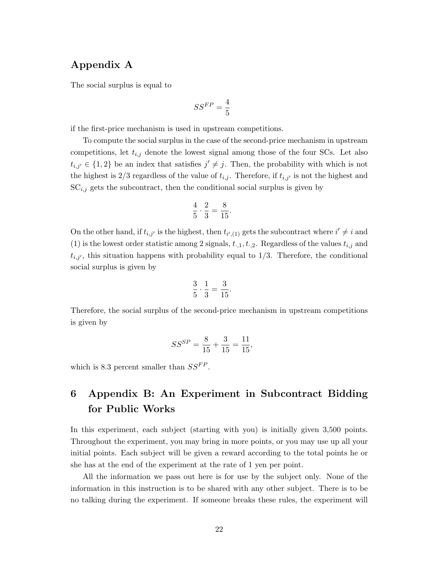# Appendix A

The social surplus is equal to

$$
SS^{FP} = \frac{4}{5}
$$

if the first-price mechanism is used in upstream competitions.

To compute the social surplus in the case of the second-price mechanism in upstream competitions, let  $t_{i,j}$  denote the lowest signal among those of the four SCs. Let also  $t_{i,j'} \in \{1,2\}$  be an index that satisfies  $j' \neq j$ . Then, the probability with which is not the highest is  $2/3$  regardless of the value of  $t_{i,j}$ . Therefore, if  $t_{i,j'}$  is not the highest and  $SC_{i,j}$  gets the subcontract, then the conditional social surplus is given by

$$
\frac{4}{5} \cdot \frac{2}{3} = \frac{8}{15}.
$$

On the other hand, if  $t_{i,j'}$  is the highest, then  $t_{i',(1)}$  gets the subcontract where  $i' \neq i$  and (1) is the lowest order statistic among 2 signals,  $t_{\cdot,1}, t_{\cdot,2}$ . Regardless of the values  $t_{i,j}$  and  $t_{i,j'}$ , this situation happens with probability equal to  $1/3$ . Therefore, the conditional social surplus is given by

$$
\frac{3}{5} \cdot \frac{1}{3} = \frac{3}{15}.
$$

Therefore, the social surplus of the second-price mechanism in upstream competitions is given by

$$
SS^{SP} = \frac{8}{15} + \frac{3}{15} = \frac{11}{15},
$$

which is 8.3 percent smaller than  $SS^{FP}$ .

# 6 Appendix B: An Experiment in Subcontract Bidding for Public Works

In this experiment, each subject (starting with you) is initially given 3,500 points. Throughout the experiment, you may bring in more points, or you may use up all your initial points. Each subject will be given a reward according to the total points he or she has at the end of the experiment at the rate of 1 yen per point.

All the information we pass out here is for use by the subject only. None of the information in this instruction is to be shared with any other subject. There is to be no talking during the experiment. If someone breaks these rules, the experiment will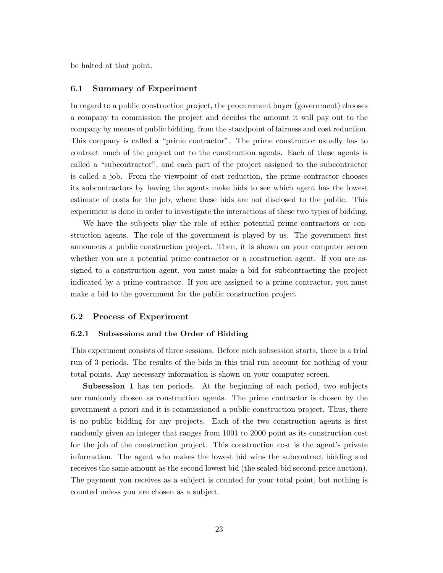be halted at that point.

#### 6.1 Summary of Experiment

In regard to a public construction project, the procurement buyer (government) chooses a company to commission the project and decides the amount it will pay out to the company by means of public bidding, from the standpoint of fairness and cost reduction. This company is called a "prime contractor". The prime constructor usually has to contract much of the project out to the construction agents. Each of these agents is called a "subcontractor", and each part of the project assigned to the subcontractor is called a job. From the viewpoint of cost reduction, the prime contractor chooses its subcontractors by having the agents make bids to see which agent has the lowest estimate of costs for the job, where these bids are not disclosed to the public. This experiment is done in order to investigate the interactions of these two types of bidding.

We have the subjects play the role of either potential prime contractors or construction agents. The role of the government is played by us. The government first announces a public construction project. Then, it is shown on your computer screen whether you are a potential prime contractor or a construction agent. If you are assigned to a construction agent, you must make a bid for subcontracting the project indicated by a prime contractor. If you are assigned to a prime contractor, you must make a bid to the government for the public construction project.

#### 6.2 Process of Experiment

#### 6.2.1 Subsessions and the Order of Bidding

This experiment consists of three sessions. Before each subsession starts, there is a trial run of 3 periods. The results of the bids in this trial run account for nothing of your total points. Any necessary information is shown on your computer screen.

Subsession 1 has ten periods. At the beginning of each period, two subjects are randomly chosen as construction agents. The prime contractor is chosen by the government a priori and it is commissioned a public construction project. Thus, there is no public bidding for any projects. Each of the two construction agents is first randomly given an integer that ranges from 1001 to 2000 point as its construction cost for the job of the construction project. This construction cost is the agent's private information. The agent who makes the lowest bid wins the subcontract bidding and receives the same amount as the second lowest bid (the sealed-bid second-price auction). The payment you receives as a subject is counted for your total point, but nothing is counted unless you are chosen as a subject.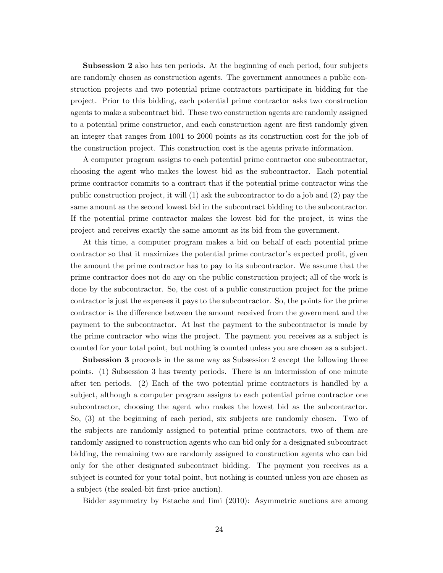Subsession 2 also has ten periods. At the beginning of each period, four subjects are randomly chosen as construction agents. The government announces a public construction projects and two potential prime contractors participate in bidding for the project. Prior to this bidding, each potential prime contractor asks two construction agents to make a subcontract bid. These two construction agents are randomly assigned to a potential prime constructor, and each construction agent are first randomly given an integer that ranges from 1001 to 2000 points as its construction cost for the job of the construction project. This construction cost is the agents private information.

A computer program assigns to each potential prime contractor one subcontractor, choosing the agent who makes the lowest bid as the subcontractor. Each potential prime contractor commits to a contract that if the potential prime contractor wins the public construction project, it will (1) ask the subcontractor to do a job and (2) pay the same amount as the second lowest bid in the subcontract bidding to the subcontractor. If the potential prime contractor makes the lowest bid for the project, it wins the project and receives exactly the same amount as its bid from the government.

At this time, a computer program makes a bid on behalf of each potential prime contractor so that it maximizes the potential prime contractor's expected profit, given the amount the prime contractor has to pay to its subcontractor. We assume that the prime contractor does not do any on the public construction project; all of the work is done by the subcontractor. So, the cost of a public construction project for the prime contractor is just the expenses it pays to the subcontractor. So, the points for the prime contractor is the difference between the amount received from the government and the payment to the subcontractor. At last the payment to the subcontractor is made by the prime contractor who wins the project. The payment you receives as a subject is counted for your total point, but nothing is counted unless you are chosen as a subject.

Subession 3 proceeds in the same way as Subsession 2 except the following three points. (1) Subsession 3 has twenty periods. There is an intermission of one minute after ten periods. (2) Each of the two potential prime contractors is handled by a subject, although a computer program assigns to each potential prime contractor one subcontractor, choosing the agent who makes the lowest bid as the subcontractor. So, (3) at the beginning of each period, six subjects are randomly chosen. Two of the subjects are randomly assigned to potential prime contractors, two of them are randomly assigned to construction agents who can bid only for a designated subcontract bidding, the remaining two are randomly assigned to construction agents who can bid only for the other designated subcontract bidding. The payment you receives as a subject is counted for your total point, but nothing is counted unless you are chosen as a subject (the sealed-bit first-price auction).

Bidder asymmetry by Estache and Iimi (2010): Asymmetric auctions are among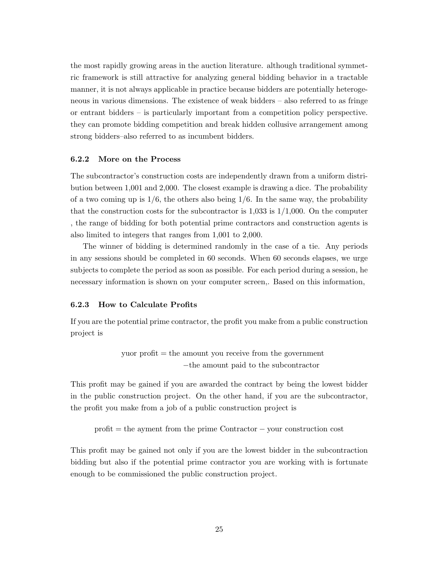the most rapidly growing areas in the auction literature. although traditional symmetric framework is still attractive for analyzing general bidding behavior in a tractable manner, it is not always applicable in practice because bidders are potentially heterogeneous in various dimensions. The existence of weak bidders – also referred to as fringe or entrant bidders – is particularly important from a competition policy perspective. they can promote bidding competition and break hidden collusive arrangement among strong bidders–also referred to as incumbent bidders.

#### 6.2.2 More on the Process

The subcontractor's construction costs are independently drawn from a uniform distribution between 1,001 and 2,000. The closest example is drawing a dice. The probability of a two coming up is  $1/6$ , the others also being  $1/6$ . In the same way, the probability that the construction costs for the subcontractor is  $1,033$  is  $1/1,000$ . On the computer , the range of bidding for both potential prime contractors and construction agents is also limited to integers that ranges from 1,001 to 2,000.

The winner of bidding is determined randomly in the case of a tie. Any periods in any sessions should be completed in 60 seconds. When 60 seconds elapses, we urge subjects to complete the period as soon as possible. For each period during a session, he necessary information is shown on your computer screen,. Based on this information,

#### 6.2.3 How to Calculate Profits

If you are the potential prime contractor, the profit you make from a public construction project is

> yuor  $profit = the amount you receive from the government$ −the amount paid to the subcontractor

This profit may be gained if you are awarded the contract by being the lowest bidder in the public construction project. On the other hand, if you are the subcontractor, the profit you make from a job of a public construction project is

profit = the ayment from the prime Contractor − your construction cost

This profit may be gained not only if you are the lowest bidder in the subcontraction bidding but also if the potential prime contractor you are working with is fortunate enough to be commissioned the public construction project.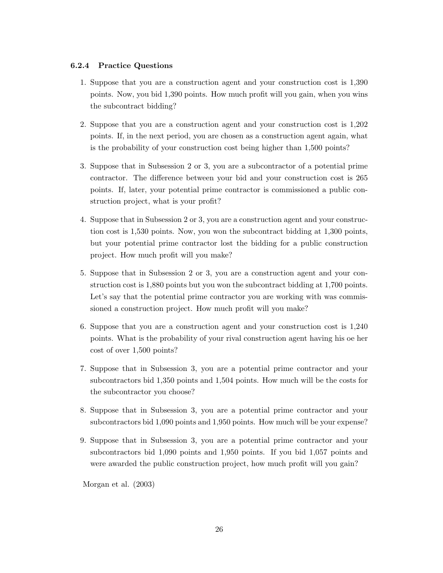#### 6.2.4 Practice Questions

- 1. Suppose that you are a construction agent and your construction cost is 1,390 points. Now, you bid 1,390 points. How much profit will you gain, when you wins the subcontract bidding?
- 2. Suppose that you are a construction agent and your construction cost is 1,202 points. If, in the next period, you are chosen as a construction agent again, what is the probability of your construction cost being higher than 1,500 points?
- 3. Suppose that in Subsession 2 or 3, you are a subcontractor of a potential prime contractor. The difference between your bid and your construction cost is 265 points. If, later, your potential prime contractor is commissioned a public construction project, what is your profit?
- 4. Suppose that in Subsession 2 or 3, you are a construction agent and your construction cost is 1,530 points. Now, you won the subcontract bidding at 1,300 points, but your potential prime contractor lost the bidding for a public construction project. How much profit will you make?
- 5. Suppose that in Subsession 2 or 3, you are a construction agent and your construction cost is 1,880 points but you won the subcontract bidding at 1,700 points. Let's say that the potential prime contractor you are working with was commissioned a construction project. How much profit will you make?
- 6. Suppose that you are a construction agent and your construction cost is 1,240 points. What is the probability of your rival construction agent having his oe her cost of over 1,500 points?
- 7. Suppose that in Subsession 3, you are a potential prime contractor and your subcontractors bid 1,350 points and 1,504 points. How much will be the costs for the subcontractor you choose?
- 8. Suppose that in Subsession 3, you are a potential prime contractor and your subcontractors bid 1,090 points and 1,950 points. How much will be your expense?
- 9. Suppose that in Subsession 3, you are a potential prime contractor and your subcontractors bid 1,090 points and 1,950 points. If you bid 1,057 points and were awarded the public construction project, how much profit will you gain?

Morgan et al. (2003)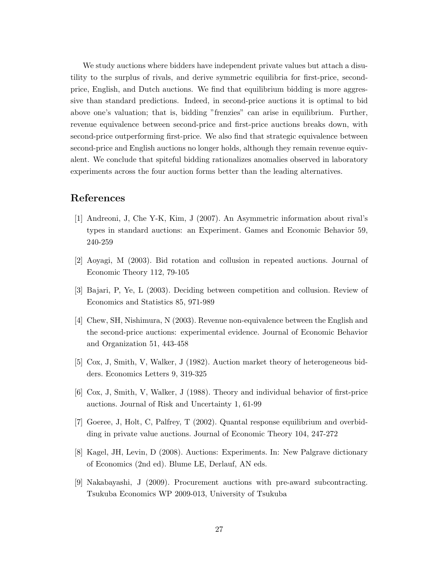We study auctions where bidders have independent private values but attach a disutility to the surplus of rivals, and derive symmetric equilibria for first-price, secondprice, English, and Dutch auctions. We find that equilibrium bidding is more aggressive than standard predictions. Indeed, in second-price auctions it is optimal to bid above one's valuation; that is, bidding "frenzies" can arise in equilibrium. Further, revenue equivalence between second-price and first-price auctions breaks down, with second-price outperforming first-price. We also find that strategic equivalence between second-price and English auctions no longer holds, although they remain revenue equivalent. We conclude that spiteful bidding rationalizes anomalies observed in laboratory experiments across the four auction forms better than the leading alternatives.

# References

- [1] Andreoni, J, Che Y-K, Kim, J (2007). An Asymmetric information about rival's types in standard auctions: an Experiment. Games and Economic Behavior 59, 240-259
- [2] Aoyagi, M (2003). Bid rotation and collusion in repeated auctions. Journal of Economic Theory 112, 79-105
- [3] Bajari, P, Ye, L (2003). Deciding between competition and collusion. Review of Economics and Statistics 85, 971-989
- [4] Chew, SH, Nishimura, N (2003). Revenue non-equivalence between the English and the second-price auctions: experimental evidence. Journal of Economic Behavior and Organization 51, 443-458
- [5] Cox, J, Smith, V, Walker, J (1982). Auction market theory of heterogeneous bidders. Economics Letters 9, 319-325
- [6] Cox, J, Smith, V, Walker, J (1988). Theory and individual behavior of first-price auctions. Journal of Risk and Uncertainty 1, 61-99
- [7] Goeree, J, Holt, C, Palfrey, T (2002). Quantal response equilibrium and overbidding in private value auctions. Journal of Economic Theory 104, 247-272
- [8] Kagel, JH, Levin, D (2008). Auctions: Experiments. In: New Palgrave dictionary of Economics (2nd ed). Blume LE, Derlauf, AN eds.
- [9] Nakabayashi, J (2009). Procurement auctions with pre-award subcontracting. Tsukuba Economics WP 2009-013, University of Tsukuba